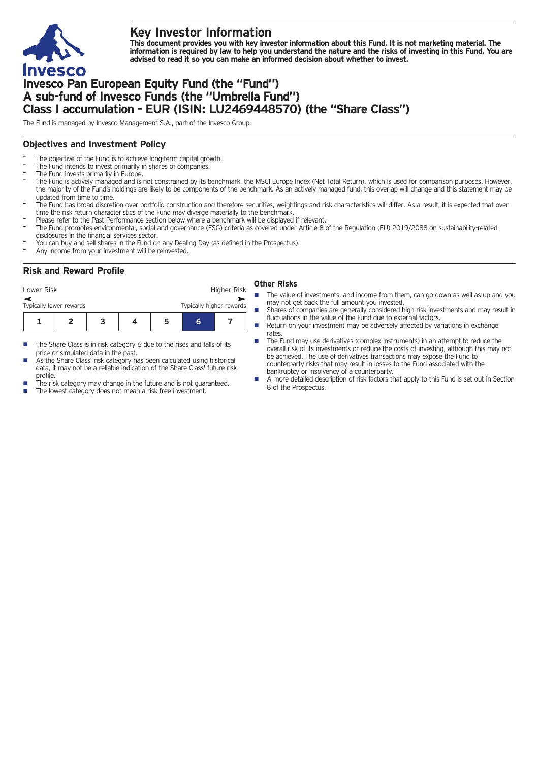

## **Key Investor Information**

This document provides you with key investor information about this Fund. It is not marketing material. The information is required by law to help you understand the nature and the risks of investing in this Fund. You are **advised to read it so you can make an informed decision about whether to invest.**

## **Invesco Pan European Equity Fund (the "Fund") A sub-fund of Invesco Funds (the "Umbrella Fund") Class I accumulation - EUR (ISIN: LU2469448570) (the "Share Class")**

The Fund is managed by Invesco Management S.A., part of the Invesco Group.

### **Objectives and Investment Policy**

- The objective of the Fund is to achieve long-term capital growth.
- The Fund intends to invest primarily in shares of companies.
- The Fund invests primarily in Europe.
- The Fund is actively managed and is not constrained by its benchmark, the MSCI Europe Index (Net Total Return), which is used for comparison purposes. However, the majority of the Fund's holdings are likely to be components of the benchmark. As an actively managed fund, this overlap will change and this statement may be updated from time to time.
- The Fund has broad discretion over portfolio construction and therefore securities, weightings and risk characteristics will differ. As a result, it is expected that over time the risk return characteristics of the Fund may diverge materially to the benchmark.
- Please refer to the Past Performance section below where a benchmark will be displayed if relevant.
- The Fund promotes environmental, social and governance (ESG) criteria as covered under Article 8 of the Regulation (EU) 2019/2088 on sustainability-related disclosures in the financial services sector.
- You can buy and sell shares in the Fund on any Dealing Day (as defined in the Prospectus).
- Any income from your investment will be reinvested.

#### **Risk and Reward Profile**

|  |  | <b>Other Risks</b> |  |  |
|--|--|--------------------|--|--|
|--|--|--------------------|--|--|

- **1234567** Lower Risk **Higher Risk 6** Typically lower rewards Typically higher rewards
- $\blacksquare$  The Share Class is in risk category 6 due to the rises and falls of its price or simulated data in the past.
- As the Share Class' risk category has been calculated using historical data, it may not be a reliable indication of the Share Class' future risk profile.
- The risk category may change in the future and is not guaranteed.
- The lowest category does not mean a risk free investment.
- The value of investments, and income from them, can go down as well as up and you may not get back the full amount you invested.
- Shares of companies are generally considered high risk investments and may result in fluctuations in the value of the Fund due to external factors.
- Return on your investment may be adversely affected by variations in exchange rates.
- $\blacksquare$  The Fund may use derivatives (complex instruments) in an attempt to reduce the overall risk of its investments or reduce the costs of investing, although this may not be achieved. The use of derivatives transactions may expose the Fund to counterparty risks that may result in losses to the Fund associated with the bankruptcy or insolvency of a counterparty.
- n A more detailed description of risk factors that apply to this Fund is set out in Section 8 of the Prospectus.